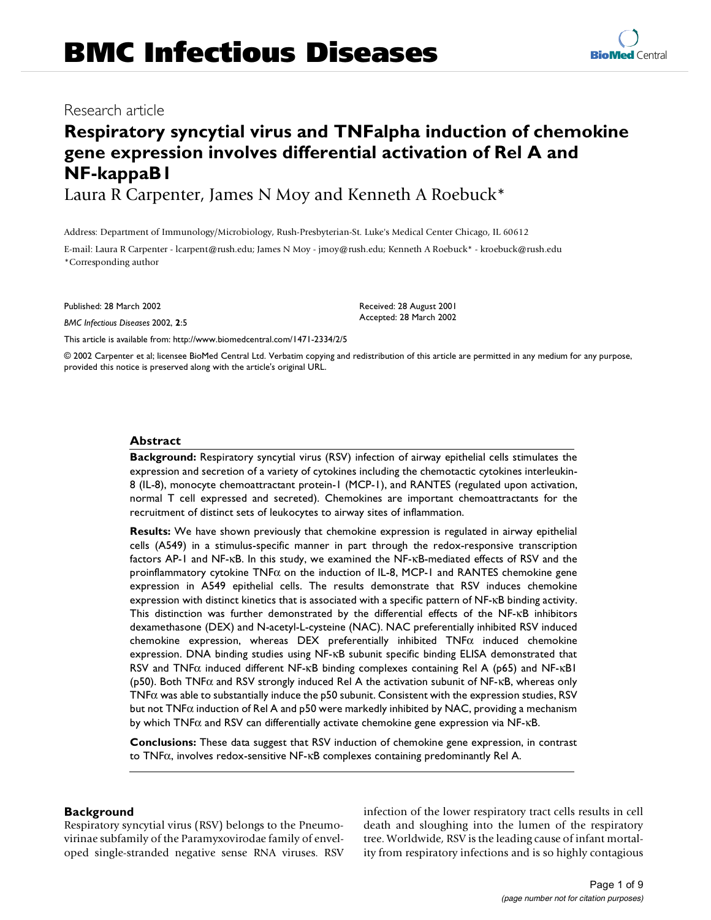## Research article

# **Respiratory syncytial virus and TNFalpha induction of chemokine gene expression involves differential activation of Rel A and NF-kappaB1**

Laura R Carpenter, James N Moy and Kenneth A Roebuck\*

Address: Department of Immunology/Microbiology, Rush-Presbyterian-St. Luke's Medical Center Chicago, IL 60612

E-mail: Laura R Carpenter - lcarpent@rush.edu; James N Moy - jmoy@rush.edu; Kenneth A Roebuck\* - kroebuck@rush.edu \*Corresponding author

Published: 28 March 2002

*BMC Infectious Diseases* 2002, **2**:5

[This article is available from: http://www.biomedcentral.com/1471-2334/2/5](http://www.biomedcentral.com/1471-2334/2/5)

Received: 28 August 2001 Accepted: 28 March 2002

© 2002 Carpenter et al; licensee BioMed Central Ltd. Verbatim copying and redistribution of this article are permitted in any medium for any purpose, provided this notice is preserved along with the article's original URL.

## **Abstract**

**Background:** Respiratory syncytial virus (RSV) infection of airway epithelial cells stimulates the expression and secretion of a variety of cytokines including the chemotactic cytokines interleukin-8 (IL-8), monocyte chemoattractant protein-1 (MCP-1), and RANTES (regulated upon activation, normal T cell expressed and secreted). Chemokines are important chemoattractants for the recruitment of distinct sets of leukocytes to airway sites of inflammation.

**Results:** We have shown previously that chemokine expression is regulated in airway epithelial cells (A549) in a stimulus-specific manner in part through the redox-responsive transcription factors AP-1 and NF-κB. In this study, we examined the NF-κB-mediated effects of RSV and the proinflammatory cytokine  $TNF\alpha$  on the induction of IL-8, MCP-1 and RANTES chemokine gene expression in A549 epithelial cells. The results demonstrate that RSV induces chemokine expression with distinct kinetics that is associated with a specific pattern of NF-κB binding activity. This distinction was further demonstrated by the differential effects of the NF-κB inhibitors dexamethasone (DEX) and N-acetyl-L-cysteine (NAC). NAC preferentially inhibited RSV induced chemokine expression, whereas DEX preferentially inhibited  $TNF\alpha$  induced chemokine expression. DNA binding studies using NF-κB subunit specific binding ELISA demonstrated that RSV and TNF $\alpha$  induced different NF-κB binding complexes containing Rel A (p65) and NF-κB1 (p50). Both TNFα and RSV strongly induced Rel A the activation subunit of NF-κB, whereas only TNFα was able to substantially induce the p50 subunit. Consistent with the expression studies, RSV but not TNF $\alpha$  induction of Rel A and p50 were markedly inhibited by NAC, providing a mechanism by which  $TNF\alpha$  and RSV can differentially activate chemokine gene expression via  $NF$ - $\kappa$ B.

**Conclusions:** These data suggest that RSV induction of chemokine gene expression, in contrast to TNFα, involves redox-sensitive NF-κB complexes containing predominantly Rel A.

## **Background**

Respiratory syncytial virus (RSV) belongs to the Pneumovirinae subfamily of the Paramyxovirodae family of enveloped single-stranded negative sense RNA viruses. RSV infection of the lower respiratory tract cells results in cell death and sloughing into the lumen of the respiratory tree. Worldwide, RSV is the leading cause of infant mortality from respiratory infections and is so highly contagious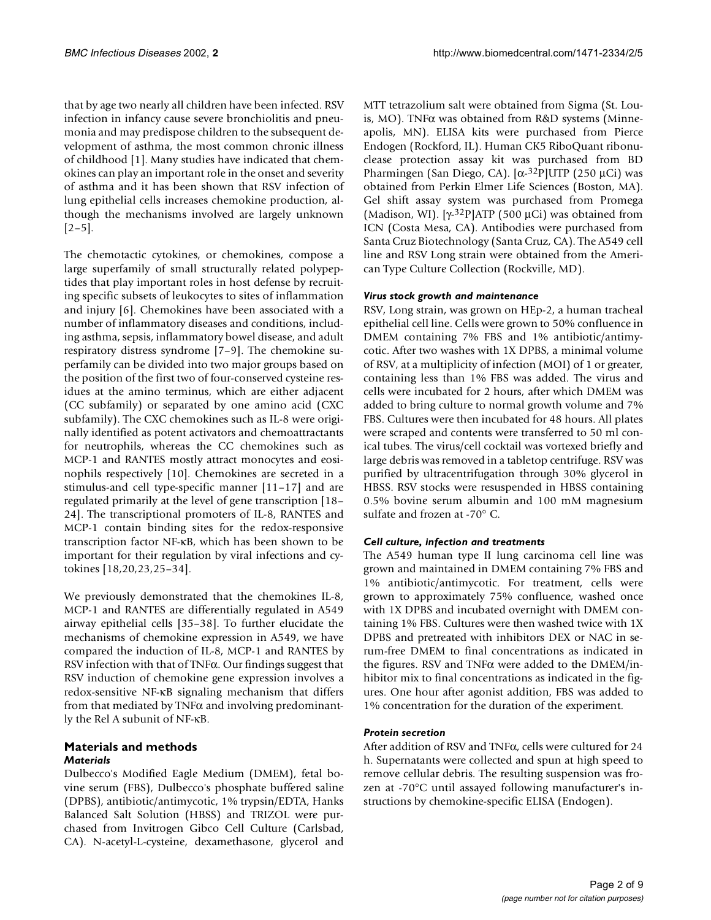that by age two nearly all children have been infected. RSV infection in infancy cause severe bronchiolitis and pneumonia and may predispose children to the subsequent development of asthma, the most common chronic illness of childhood [1]. Many studies have indicated that chemokines can play an important role in the onset and severity of asthma and it has been shown that RSV infection of lung epithelial cells increases chemokine production, although the mechanisms involved are largely unknown  $[2-5]$ .

The chemotactic cytokines, or chemokines, compose a large superfamily of small structurally related polypeptides that play important roles in host defense by recruiting specific subsets of leukocytes to sites of inflammation and injury [6]. Chemokines have been associated with a number of inflammatory diseases and conditions, including asthma, sepsis, inflammatory bowel disease, and adult respiratory distress syndrome [7–9]. The chemokine superfamily can be divided into two major groups based on the position of the first two of four-conserved cysteine residues at the amino terminus, which are either adjacent (CC subfamily) or separated by one amino acid (CXC subfamily). The CXC chemokines such as IL-8 were originally identified as potent activators and chemoattractants for neutrophils, whereas the CC chemokines such as MCP-1 and RANTES mostly attract monocytes and eosinophils respectively [10]. Chemokines are secreted in a stimulus-and cell type-specific manner [11–17] and are regulated primarily at the level of gene transcription [18– 24]. The transcriptional promoters of IL-8, RANTES and MCP-1 contain binding sites for the redox-responsive transcription factor NF-κB, which has been shown to be important for their regulation by viral infections and cytokines [18,20,23,25–34].

We previously demonstrated that the chemokines IL-8, MCP-1 and RANTES are differentially regulated in A549 airway epithelial cells [35–38]. To further elucidate the mechanisms of chemokine expression in A549, we have compared the induction of IL-8, MCP-1 and RANTES by RSV infection with that of TNFα. Our findings suggest that RSV induction of chemokine gene expression involves a redox-sensitive NF-κB signaling mechanism that differs from that mediated by TNFα and involving predominantly the Rel A subunit of NF-κB.

## **Materials and methods** *Materials*

Dulbecco's Modified Eagle Medium (DMEM), fetal bovine serum (FBS), Dulbecco's phosphate buffered saline (DPBS), antibiotic/antimycotic, 1% trypsin/EDTA, Hanks Balanced Salt Solution (HBSS) and TRIZOL were purchased from Invitrogen Gibco Cell Culture (Carlsbad, CA). N-acetyl-L-cysteine, dexamethasone, glycerol and MTT tetrazolium salt were obtained from Sigma (St. Louis, MO). TNFα was obtained from R&D systems (Minneapolis, MN). ELISA kits were purchased from Pierce Endogen (Rockford, IL). Human CK5 RiboQuant ribonuclease protection assay kit was purchased from BD Pharmingen (San Diego, CA). [α-32P]UTP (250 µCi) was obtained from Perkin Elmer Life Sciences (Boston, MA). Gel shift assay system was purchased from Promega (Madison, WI). [ $\gamma$ -32P]ATP (500 µCi) was obtained from ICN (Costa Mesa, CA). Antibodies were purchased from Santa Cruz Biotechnology (Santa Cruz, CA). The A549 cell line and RSV Long strain were obtained from the American Type Culture Collection (Rockville, MD).

## *Virus stock growth and maintenance*

RSV, Long strain, was grown on HEp-2, a human tracheal epithelial cell line. Cells were grown to 50% confluence in DMEM containing 7% FBS and 1% antibiotic/antimycotic. After two washes with 1X DPBS, a minimal volume of RSV, at a multiplicity of infection (MOI) of 1 or greater, containing less than 1% FBS was added. The virus and cells were incubated for 2 hours, after which DMEM was added to bring culture to normal growth volume and 7% FBS. Cultures were then incubated for 48 hours. All plates were scraped and contents were transferred to 50 ml conical tubes. The virus/cell cocktail was vortexed briefly and large debris was removed in a tabletop centrifuge. RSV was purified by ultracentrifugation through 30% glycerol in HBSS. RSV stocks were resuspended in HBSS containing 0.5% bovine serum albumin and 100 mM magnesium sulfate and frozen at -70° C.

## *Cell culture, infection and treatments*

The A549 human type II lung carcinoma cell line was grown and maintained in DMEM containing 7% FBS and 1% antibiotic/antimycotic. For treatment, cells were grown to approximately 75% confluence, washed once with 1X DPBS and incubated overnight with DMEM containing 1% FBS. Cultures were then washed twice with 1X DPBS and pretreated with inhibitors DEX or NAC in serum-free DMEM to final concentrations as indicated in the figures. RSV and TNFα were added to the DMEM/inhibitor mix to final concentrations as indicated in the figures. One hour after agonist addition, FBS was added to 1% concentration for the duration of the experiment.

## *Protein secretion*

After addition of RSV and TNFα, cells were cultured for 24 h. Supernatants were collected and spun at high speed to remove cellular debris. The resulting suspension was frozen at -70°C until assayed following manufacturer's instructions by chemokine-specific ELISA (Endogen).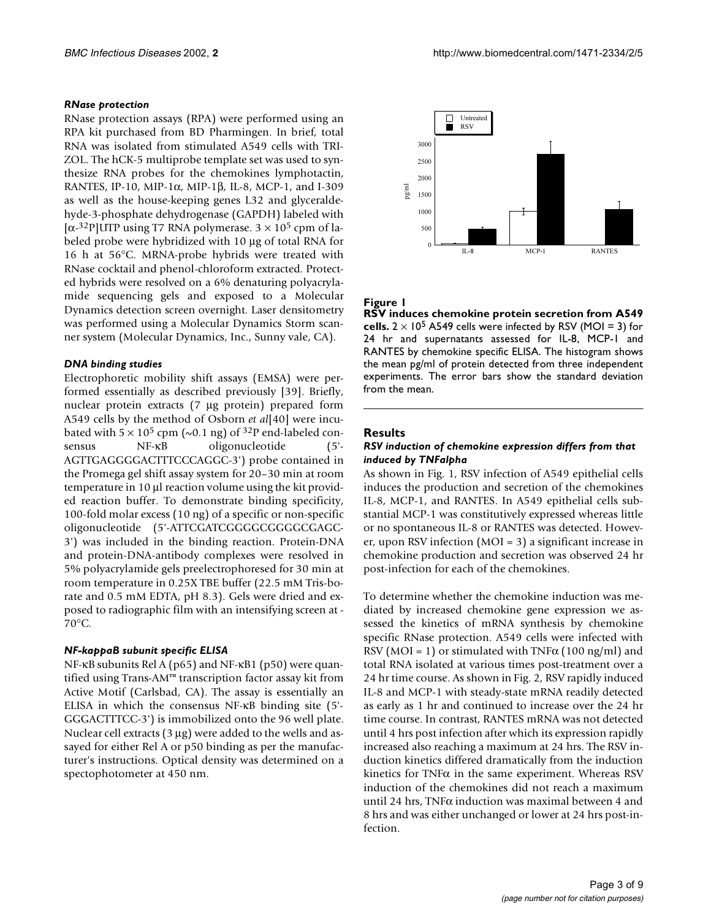#### *RNase protection*

RNase protection assays (RPA) were performed using an RPA kit purchased from BD Pharmingen. In brief, total RNA was isolated from stimulated A549 cells with TRI-ZOL. The hCK-5 multiprobe template set was used to synthesize RNA probes for the chemokines lymphotactin, RANTES, IP-10, MIP-1α, MIP-1β, IL-8, MCP-1, and I-309 as well as the house-keeping genes L32 and glyceraldehyde-3-phosphate dehydrogenase (GAPDH) labeled with [ $\alpha$ -32P]UTP using T7 RNA polymerase. 3  $\times$  10<sup>5</sup> cpm of labeled probe were hybridized with 10 µg of total RNA for 16 h at 56°C. MRNA-probe hybrids were treated with RNase cocktail and phenol-chloroform extracted. Protected hybrids were resolved on a 6% denaturing polyacrylamide sequencing gels and exposed to a Molecular Dynamics detection screen overnight. Laser densitometry was performed using a Molecular Dynamics Storm scanner system (Molecular Dynamics, Inc., Sunny vale, CA).

### *DNA binding studies*

Electrophoretic mobility shift assays (EMSA) were performed essentially as described previously [39]. Briefly, nuclear protein extracts (7 µg protein) prepared form A549 cells by the method of Osborn *et al*[40] were incubated with  $5 \times 10^5$  cpm (~0.1 ng) of <sup>32</sup>P end-labeled consensus NF-κB oligonucleotide (5'-AGTTGAGGGGACTTTCCCAGGC-3') probe contained in the Promega gel shift assay system for 20–30 min at room temperature in 10 µl reaction volume using the kit provided reaction buffer. To demonstrate binding specificity, 100-fold molar excess (10 ng) of a specific or non-specific oligonucleotide (5'-ATTCGATCGGGGCGGGGCGAGC-3') was included in the binding reaction. Protein-DNA and protein-DNA-antibody complexes were resolved in 5% polyacrylamide gels preelectrophoresed for 30 min at room temperature in 0.25X TBE buffer (22.5 mM Tris-borate and 0.5 mM EDTA, pH 8.3). Gels were dried and exposed to radiographic film with an intensifying screen at - 70°C.

## *NF-kappaB subunit specific ELISA*

NF-κB subunits Rel A (p65) and NF-κB1 (p50) were quantified using Trans-AM™ transcription factor assay kit from Active Motif (Carlsbad, CA). The assay is essentially an ELISA in which the consensus NF-κB binding site (5'- GGGACTTTCC-3') is immobilized onto the 96 well plate. Nuclear cell extracts  $(3 \mu g)$  were added to the wells and assayed for either Rel A or p50 binding as per the manufacturer's instructions. Optical density was determined on a spectophotometer at 450 nm.



## **Figure 1**

**RSV induces chemokine protein secretion from A549 cells.**  $2 \times 10^5$  A549 cells were infected by RSV (MOI = 3) for 24 hr and supernatants assessed for IL-8, MCP-1 and RANTES by chemokine specific ELISA. The histogram shows the mean pg/ml of protein detected from three independent experiments. The error bars show the standard deviation from the mean.

### **Results**

#### *RSV induction of chemokine expression differs from that induced by TNFalpha*

As shown in Fig. 1, RSV infection of A549 epithelial cells induces the production and secretion of the chemokines IL-8, MCP-1, and RANTES. In A549 epithelial cells substantial MCP-1 was constitutively expressed whereas little or no spontaneous IL-8 or RANTES was detected. However, upon RSV infection (MOI = 3) a significant increase in chemokine production and secretion was observed 24 hr post-infection for each of the chemokines.

To determine whether the chemokine induction was mediated by increased chemokine gene expression we assessed the kinetics of mRNA synthesis by chemokine specific RNase protection. A549 cells were infected with RSV (MOI = 1) or stimulated with TNF $\alpha$  (100 ng/ml) and total RNA isolated at various times post-treatment over a 24 hr time course. As shown in Fig. 2, RSV rapidly induced IL-8 and MCP-1 with steady-state mRNA readily detected as early as 1 hr and continued to increase over the 24 hr time course. In contrast, RANTES mRNA was not detected until 4 hrs post infection after which its expression rapidly increased also reaching a maximum at 24 hrs. The RSV induction kinetics differed dramatically from the induction kinetics for TNFα in the same experiment. Whereas RSV induction of the chemokines did not reach a maximum until 24 hrs, TNFα induction was maximal between 4 and 8 hrs and was either unchanged or lower at 24 hrs post-infection.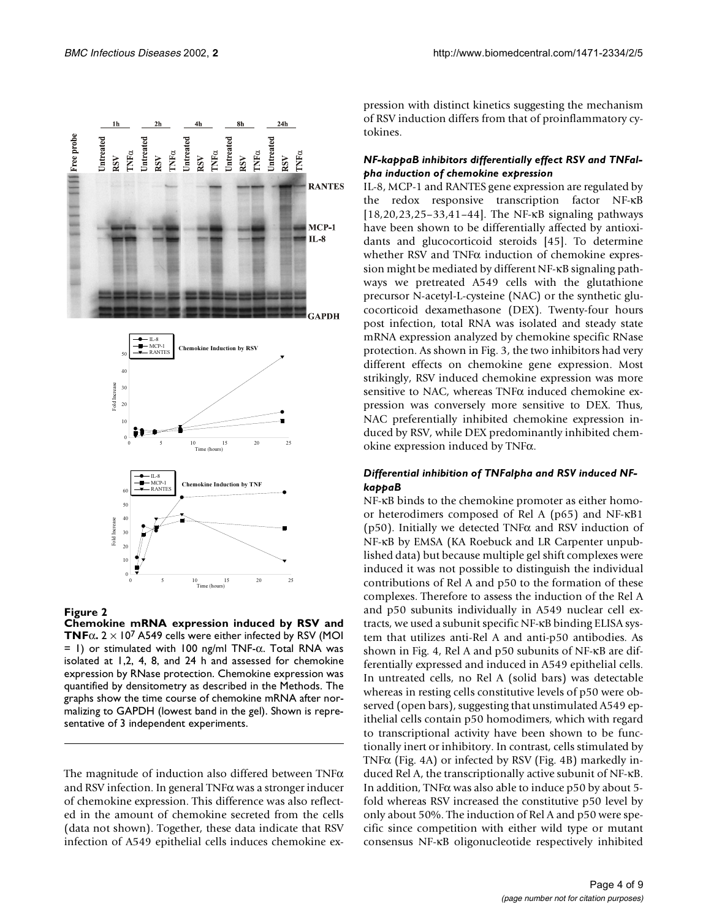

#### **Figure 2**

**Chemokine mRNA expression induced by RSV and TNF** $\alpha$ **.** 2  $\times$  10<sup>7</sup> A549 cells were either infected by RSV (MOI  $=$  1) or stimulated with 100 ng/ml TNF- $\alpha$ . Total RNA was isolated at 1,2, 4, 8, and 24 h and assessed for chemokine expression by RNase protection. Chemokine expression was quantified by densitometry as described in the Methods. The graphs show the time course of chemokine mRNA after normalizing to GAPDH (lowest band in the gel). Shown is representative of 3 independent experiments.

The magnitude of induction also differed between  $TNF\alpha$ and RSV infection. In general TNFα was a stronger inducer of chemokine expression. This difference was also reflected in the amount of chemokine secreted from the cells (data not shown). Together, these data indicate that RSV infection of A549 epithelial cells induces chemokine expression with distinct kinetics suggesting the mechanism of RSV induction differs from that of proinflammatory cytokines.

### *NF-kappaB inhibitors differentially effect RSV and TNFalpha induction of chemokine expression*

IL-8, MCP-1 and RANTES gene expression are regulated by the redox responsive transcription factor NF-κB [18,20,23,25–33,41–44]. The NF-κB signaling pathways have been shown to be differentially affected by antioxidants and glucocorticoid steroids [45]. To determine whether RSV and TNFα induction of chemokine expression might be mediated by different NF-κB signaling pathways we pretreated A549 cells with the glutathione precursor N-acetyl-L-cysteine (NAC) or the synthetic glucocorticoid dexamethasone (DEX). Twenty-four hours post infection, total RNA was isolated and steady state mRNA expression analyzed by chemokine specific RNase protection. As shown in Fig. [3](#page-4-0), the two inhibitors had very different effects on chemokine gene expression. Most strikingly, RSV induced chemokine expression was more sensitive to NAC, whereas TNFα induced chemokine expression was conversely more sensitive to DEX. Thus, NAC preferentially inhibited chemokine expression induced by RSV, while DEX predominantly inhibited chemokine expression induced by TNFα.

#### *Differential inhibition of TNFalpha and RSV induced NFkappaB*

NF-κB binds to the chemokine promoter as either homoor heterodimers composed of Rel A (p65) and NF-κB1 (p50). Initially we detected TNFα and RSV induction of NF-κB by EMSA (KA Roebuck and LR Carpenter unpublished data) but because multiple gel shift complexes were induced it was not possible to distinguish the individual contributions of Rel A and p50 to the formation of these complexes. Therefore to assess the induction of the Rel A and p50 subunits individually in A549 nuclear cell extracts, we used a subunit specific NF-κB binding ELISA system that utilizes anti-Rel A and anti-p50 antibodies. As shown in Fig. 4, Rel A and p50 subunits of NF-κB are differentially expressed and induced in A549 epithelial cells. In untreated cells, no Rel A (solid bars) was detectable whereas in resting cells constitutive levels of p50 were observed (open bars), suggesting that unstimulated A549 epithelial cells contain p50 homodimers, which with regard to transcriptional activity have been shown to be functionally inert or inhibitory. In contrast, cells stimulated by TNFα (Fig. 4A) or infected by RSV (Fig. 4B) markedly induced Rel A, the transcriptionally active subunit of NF-κB. In addition, TNFα was also able to induce p50 by about 5 fold whereas RSV increased the constitutive p50 level by only about 50%. The induction of Rel A and p50 were specific since competition with either wild type or mutant consensus NF-κB oligonucleotide respectively inhibited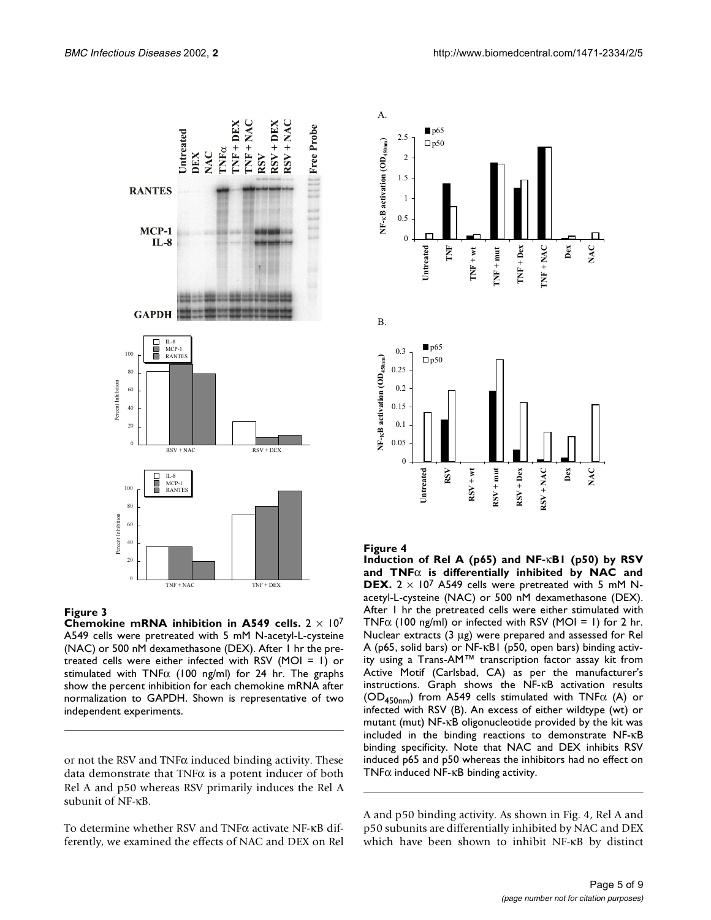

#### <span id="page-4-0"></span>**Figure 3**

**Chemokine mRNA inhibition in A549 cells.** 2 × 107 A549 cells were pretreated with 5 mM N-acetyl-L-cysteine (NAC) or 500 nM dexamethasone (DEX). After 1 hr the pretreated cells were either infected with RSV (MOI = 1) or stimulated with TNF $\alpha$  (100 ng/ml) for 24 hr. The graphs show the percent inhibition for each chemokine mRNA after normalization to GAPDH. Shown is representative of two independent experiments.

or not the RSV and TNF $\alpha$  induced binding activity. These data demonstrate that TNFα is a potent inducer of both Rel A and p50 whereas RSV primarily induces the Rel A subunit of NF-κB.

To determine whether RSV and TNFα activate NF-κB differently, we examined the effects of NAC and DEX on Rel



#### **Figure 4**

**Induction of Rel A (p65) and NF-**κ**B1 (p50) by RSV and TNF**α **is differentially inhibited by NAC and DEX.**  $2 \times 10^7$  A549 cells were pretreated with 5 mM Nacetyl-L-cysteine (NAC) or 500 nM dexamethasone (DEX). After 1 hr the pretreated cells were either stimulated with  $TNF\alpha$  (100 ng/ml) or infected with RSV (MOI = 1) for 2 hr. Nuclear extracts (3 µg) were prepared and assessed for Rel A (p65, solid bars) or NF-κB1 (p50, open bars) binding activity using a Trans-AM™ transcription factor assay kit from Active Motif (Carlsbad, CA) as per the manufacturer's instructions. Graph shows the NF-κB activation results (OD<sub>450nm</sub>) from A549 cells stimulated with TNF $\alpha$  (A) or infected with RSV (B). An excess of either wildtype (wt) or mutant (mut) NF-κB oligonucleotide provided by the kit was included in the binding reactions to demonstrate NF-κB binding specificity. Note that NAC and DEX inhibits RSV induced p65 and p50 whereas the inhibitors had no effect on TNF $\alpha$  induced NF- $\kappa$ B binding activity.

A and p50 binding activity. As shown in Fig. 4, Rel A and p50 subunits are differentially inhibited by NAC and DEX which have been shown to inhibit NF-κB by distinct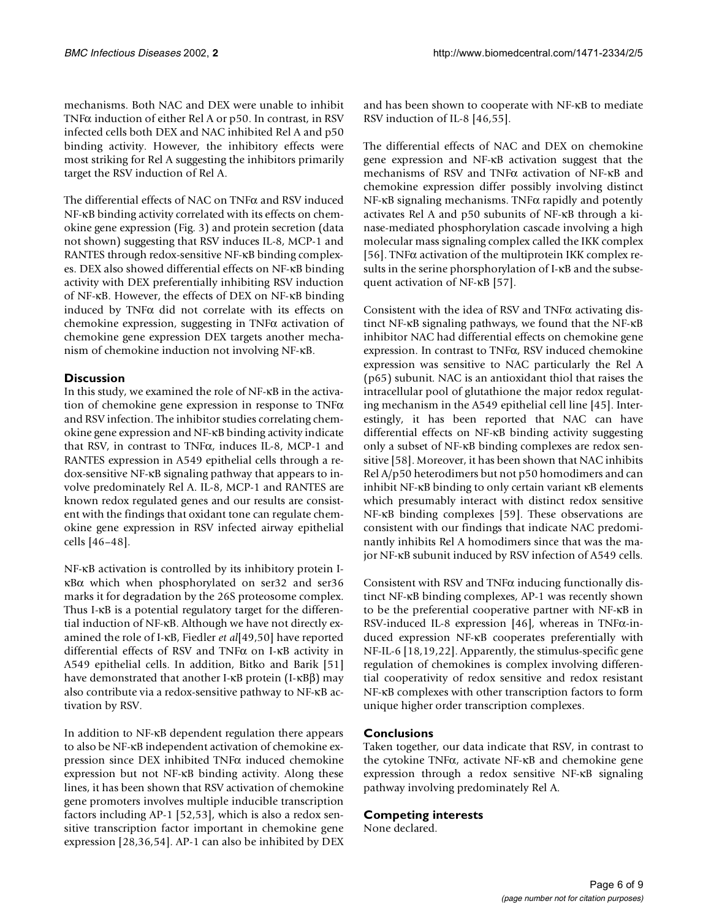mechanisms. Both NAC and DEX were unable to inhibit TNFα induction of either Rel A or p50. In contrast, in RSV infected cells both DEX and NAC inhibited Rel A and p50 binding activity. However, the inhibitory effects were most striking for Rel A suggesting the inhibitors primarily target the RSV induction of Rel A.

The differential effects of NAC on TNFα and RSV induced NF-κB binding activity correlated with its effects on chemokine gene expression (Fig. [3](#page-4-0)) and protein secretion (data not shown) suggesting that RSV induces IL-8, MCP-1 and RANTES through redox-sensitive NF-κB binding complexes. DEX also showed differential effects on NF-κB binding activity with DEX preferentially inhibiting RSV induction of NF-κB. However, the effects of DEX on NF-κB binding induced by TNF $\alpha$  did not correlate with its effects on chemokine expression, suggesting in TNFα activation of chemokine gene expression DEX targets another mechanism of chemokine induction not involving NF-κB.

## **Discussion**

In this study, we examined the role of NF-κB in the activation of chemokine gene expression in response to TNFα and RSV infection. The inhibitor studies correlating chemokine gene expression and NF-κB binding activity indicate that RSV, in contrast to TNFα, induces IL-8, MCP-1 and RANTES expression in A549 epithelial cells through a redox-sensitive NF-κB signaling pathway that appears to involve predominately Rel A. IL-8, MCP-1 and RANTES are known redox regulated genes and our results are consistent with the findings that oxidant tone can regulate chemokine gene expression in RSV infected airway epithelial cells [46–48].

NF-κB activation is controlled by its inhibitory protein IκBα which when phosphorylated on ser32 and ser36 marks it for degradation by the 26S proteosome complex. Thus I-κB is a potential regulatory target for the differential induction of NF-κB. Although we have not directly examined the role of I-κB, Fiedler *et al*[49,50] have reported differential effects of RSV and TNFα on I-κB activity in A549 epithelial cells. In addition, Bitko and Barik [51] have demonstrated that another I-κB protein (I-κBβ) may also contribute via a redox-sensitive pathway to NF-κB activation by RSV.

In addition to NF-κB dependent regulation there appears to also be NF-κB independent activation of chemokine expression since DEX inhibited TNFα induced chemokine expression but not NF-κB binding activity. Along these lines, it has been shown that RSV activation of chemokine gene promoters involves multiple inducible transcription factors including AP-1 [52,53], which is also a redox sensitive transcription factor important in chemokine gene expression [28,36,54]. AP-1 can also be inhibited by DEX and has been shown to cooperate with NF-κB to mediate RSV induction of IL-8 [46,55].

The differential effects of NAC and DEX on chemokine gene expression and NF-κB activation suggest that the mechanisms of RSV and TNFα activation of NF-κB and chemokine expression differ possibly involving distinct NF-κB signaling mechanisms. TNF $α$  rapidly and potently activates Rel A and p50 subunits of NF-κB through a kinase-mediated phosphorylation cascade involving a high molecular mass signaling complex called the IKK complex [56]. TNFα activation of the multiprotein IKK complex results in the serine phorsphorylation of I-κB and the subsequent activation of NF-κB [57].

Consistent with the idea of RSV and  $TNF\alpha$  activating distinct NF-κB signaling pathways, we found that the NF-κB inhibitor NAC had differential effects on chemokine gene expression. In contrast to TNFα, RSV induced chemokine expression was sensitive to NAC particularly the Rel A (p65) subunit. NAC is an antioxidant thiol that raises the intracellular pool of glutathione the major redox regulating mechanism in the A549 epithelial cell line [45]. Interestingly, it has been reported that NAC can have differential effects on NF-κB binding activity suggesting only a subset of NF-κB binding complexes are redox sensitive [58]. Moreover, it has been shown that NAC inhibits Rel A/p50 heterodimers but not p50 homodimers and can inhibit NF-κB binding to only certain variant κB elements which presumably interact with distinct redox sensitive NF-κB binding complexes [59]. These observations are consistent with our findings that indicate NAC predominantly inhibits Rel A homodimers since that was the major NF-κB subunit induced by RSV infection of A549 cells.

Consistent with RSV and TNF $\alpha$  inducing functionally distinct NF-κB binding complexes, AP-1 was recently shown to be the preferential cooperative partner with NF-κB in RSV-induced IL-8 expression [46], whereas in TNFα-induced expression NF-κB cooperates preferentially with NF-IL-6 [18,19,22]. Apparently, the stimulus-specific gene regulation of chemokines is complex involving differential cooperativity of redox sensitive and redox resistant NF-κB complexes with other transcription factors to form unique higher order transcription complexes.

## **Conclusions**

Taken together, our data indicate that RSV, in contrast to the cytokine TNFα, activate NF-κB and chemokine gene expression through a redox sensitive NF-κB signaling pathway involving predominately Rel A.

## **Competing interests**

None declared.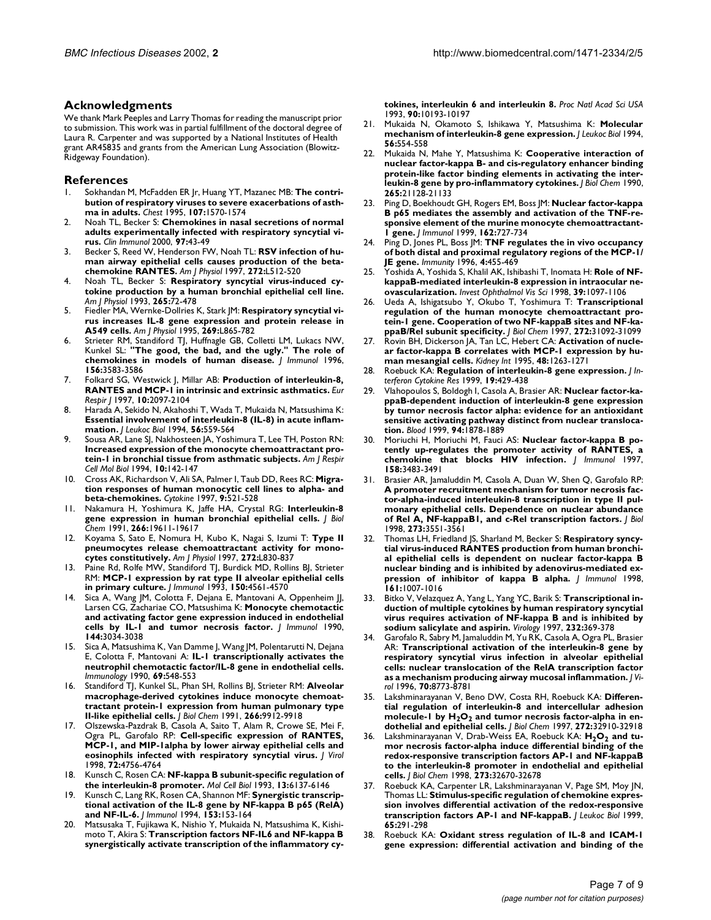#### **Acknowledgments**

We thank Mark Peeples and Larry Thomas for reading the manuscript prior to submission. This work was in partial fulfillment of the doctoral degree of Laura R. Carpenter and was supported by a National Institutes of Health grant AR45835 and grants from the American Lung Association (Blowitz-Ridgeway Foundation).

#### **References**

- Sokhandan M, McFadden ER Jr, Huang YT, Mazanec MB: The contri**bution of respiratory viruses to severe exacerbations of asthma in adults.** *Chest* 1995, **107:**1570-1574
- 2. [Noah TL, Becker S:](http://www.ncbi.nlm.nih.gov/entrez/query.fcgi?cmd=Retrieve&db=PubMed&dopt=Abstract&list_uids=10998316) **Chemokines in nasal secretions of normal adults experimentally infected with respiratory syncytial virus.** *Clin Immunol* 2000, **97:**43-49
- 3. [Becker S, Reed W, Henderson FW, Noah TL:](http://www.ncbi.nlm.nih.gov/entrez/query.fcgi?cmd=Retrieve&db=PubMed&dopt=Abstract&list_uids=9124609) **RSV infection of human airway epithelial cells causes production of the betachemokine RANTES.** *Am J Physiol* 1997, **272:**L512-520
- 4. [Noah TL, Becker S:](http://www.ncbi.nlm.nih.gov/entrez/query.fcgi?cmd=Retrieve&db=PubMed&dopt=Abstract&list_uids=7876605) **Respiratory syncytial virus-induced cytokine production by a human bronchial epithelial cell line.** *Am J Physiol* 1993, **265:**72-478
- 5. [Fiedler MA, Wernke-Dollries K, Stark JM:](http://www.ncbi.nlm.nih.gov/entrez/query.fcgi?cmd=Retrieve&db=PubMed&dopt=Abstract&list_uids=8572249) **Respiratory syncytial virus increases IL-8 gene expression and protein release in A549 cells.** *Am J Physiol* 1995, **269:**L865-782
- 6. [Strieter RM, Standiford TJ, Huffnagle GB, Colletti LM, Lukacs NW,](http://www.ncbi.nlm.nih.gov/entrez/query.fcgi?cmd=Retrieve&db=PubMed&dopt=Abstract&list_uids=8621890) [Kunkel SL:](http://www.ncbi.nlm.nih.gov/entrez/query.fcgi?cmd=Retrieve&db=PubMed&dopt=Abstract&list_uids=8621890) **"The good, the bad, and the ugly." The role of chemokines in models of human disease.** *J Immunol* 1996, **156:**3583-3586
- 7. [Folkard SG, Westwick J, Millar AB:](http://www.ncbi.nlm.nih.gov/entrez/query.fcgi?cmd=Retrieve&db=PubMed&dopt=Abstract&list_uids=9311510) **Production of interleukin-8, RANTES and MCP-1 in intrinsic and extrinsic asthmatics.** *Eur Respir J* 1997, **10:**2097-2104
- Harada A, Sekido N, Akahoshi T, Wada T, Mukaida N, Matsushima K: **Essential involvement of interleukin-8 (IL-8) in acute inflammation.** *J Leukoc Biol* 1994, **56:**559-564
- 9. [Sousa AR, Lane SJ, Nakhosteen JA, Yoshimura T, Lee TH, Poston RN:](http://www.ncbi.nlm.nih.gov/entrez/query.fcgi?cmd=Retrieve&db=PubMed&dopt=Abstract&list_uids=8110469) **Increased expression of the monocyte chemoattractant protein-1 in bronchial tissue from asthmatic subjects.** *Am J Respir Cell Mol Biol* 1994, **10:**142-147
- 10. [Cross AK, Richardson V, Ali SA, Palmer I, Taub DD, Rees RC:](http://www.ncbi.nlm.nih.gov/entrez/query.fcgi?cmd=Retrieve&db=PubMed&dopt=Abstract&list_uids=9237815) **Migration responses of human monocytic cell lines to alpha- and beta-chemokines.** *Cytokine* 1997, **9:**521-528
- 11. [Nakamura H, Yoshimura K, Jaffe HA, Crystal RG:](http://www.ncbi.nlm.nih.gov/entrez/query.fcgi?cmd=Retrieve&db=PubMed&dopt=Abstract&list_uids=1918068) **Interleukin-8 gene expression in human bronchial epithelial cells.** *J Biol Chem* 1991, **266:**19611-19617
- 12. [Koyama S, Sato E, Nomura H, Kubo K, Nagai S, Izumi T:](http://www.ncbi.nlm.nih.gov/entrez/query.fcgi?cmd=Retrieve&db=PubMed&dopt=Abstract&list_uids=9176245) **Type II** pneumocytes release chemoattractant activity for mono**cytes constitutively.** *Am J Physiol* 1997, **272:**L830-837
- 13. [Paine Rd, Rolfe MW, Standiford TJ, Burdick MD, Rollins BJ, Strieter](http://www.ncbi.nlm.nih.gov/entrez/query.fcgi?cmd=Retrieve&db=PubMed&dopt=Abstract&list_uids=8482848) [RM:](http://www.ncbi.nlm.nih.gov/entrez/query.fcgi?cmd=Retrieve&db=PubMed&dopt=Abstract&list_uids=8482848) **MCP-1 expression by rat type II alveolar epithelial cells in primary culture.** *J Immunol* 1993, **150:**4561-4570
- 14. [Sica A, Wang JM, Colotta F, Dejana E, Mantovani A, Oppenheim JJ,](http://www.ncbi.nlm.nih.gov/entrez/query.fcgi?cmd=Retrieve&db=PubMed&dopt=Abstract&list_uids=2182712) [Larsen CG, Zachariae CO, Matsushima K:](http://www.ncbi.nlm.nih.gov/entrez/query.fcgi?cmd=Retrieve&db=PubMed&dopt=Abstract&list_uids=2182712) **Monocyte chemotactic and activating factor gene expression induced in endothelial cells by IL-1 and tumor necrosis factor.** *J Immunol* 1990, **144:**3034-3038
- Sica A, Matsushima K, Van Damme J, Wang JM, Polentarutti N, Dejana [E, Colotta F, Mantovani A:](http://www.ncbi.nlm.nih.gov/entrez/query.fcgi?cmd=Retrieve&db=PubMed&dopt=Abstract&list_uids=2185985) **IL-1 transcriptionally activates the neutrophil chemotactic factor/IL-8 gene in endothelial cells.** *Immunology* 1990, **69:**548-553
- 16. [Standiford TJ, Kunkel SL, Phan SH, Rollins BJ, Strieter RM:](http://www.ncbi.nlm.nih.gov/entrez/query.fcgi?cmd=Retrieve&db=PubMed&dopt=Abstract&list_uids=2033076) **Alveolar macrophage-derived cytokines induce monocyte chemoattractant protein-1 expression from human pulmonary type II-like epithelial cells.** *J Biol Chem* 1991, **266:**9912-9918
- 17. [Olszewska-Pazdrak B, Casola A, Saito T, Alam R, Crowe SE, Mei F,](http://www.ncbi.nlm.nih.gov/entrez/query.fcgi?cmd=Retrieve&db=PubMed&dopt=Abstract&list_uids=9573240) [Ogra PL, Garofalo RP:](http://www.ncbi.nlm.nih.gov/entrez/query.fcgi?cmd=Retrieve&db=PubMed&dopt=Abstract&list_uids=9573240) **Cell-specific expression of RANTES, MCP-1, and MIP-1alpha by lower airway epithelial cells and eosinophils infected with respiratory syncytial virus.** *J Virol* 1998, **72:**4756-4764
- 18. [Kunsch C, Rosen CA:](http://www.ncbi.nlm.nih.gov/entrez/query.fcgi?cmd=Retrieve&db=PubMed&dopt=Abstract&list_uids=8413215) **NF-kappa B subunit-specific regulation of the interleukin-8 promoter.** *Mol Cell Biol* 1993, **13:**6137-6146
- 19. [Kunsch C, Lang RK, Rosen CA, Shannon MF:](http://www.ncbi.nlm.nih.gov/entrez/query.fcgi?cmd=Retrieve&db=PubMed&dopt=Abstract&list_uids=8207232) **Synergistic transcriptional activation of the IL-8 gene by NF-kappa B p65 (RelA) and NF-IL-6.** *J Immunol* 1994, **153:**153-164
- 20. [Matsusaka T, Fujikawa K, Nishio Y, Mukaida N, Matsushima K, Kishi](http://www.ncbi.nlm.nih.gov/entrez/query.fcgi?cmd=Retrieve&db=PubMed&dopt=Abstract&list_uids=8234276)[moto T, Akira S:](http://www.ncbi.nlm.nih.gov/entrez/query.fcgi?cmd=Retrieve&db=PubMed&dopt=Abstract&list_uids=8234276) **Transcription factors NF-IL6 and NF-kappa B synergistically activate transcription of the inflammatory cy-**

**tokines, interleukin 6 and interleukin 8.** *Proc Natl Acad Sci USA* 1993, **90:**10193-10197

- 21. [Mukaida N, Okamoto S, Ishikawa Y, Matsushima K:](http://www.ncbi.nlm.nih.gov/entrez/query.fcgi?cmd=Retrieve&db=PubMed&dopt=Abstract&list_uids=7525815) **Molecular mechanism of interleukin-8 gene expression.** *J Leukoc Biol* 1994, **56:**554-558
- 22. [Mukaida N, Mahe Y, Matsushima K:](http://www.ncbi.nlm.nih.gov/entrez/query.fcgi?cmd=Retrieve&db=PubMed&dopt=Abstract&list_uids=2250017) **Cooperative interaction of nuclear factor-kappa B- and cis-regulatory enhancer binding protein-like factor binding elements in activating the interleukin-8 gene by pro-inflammatory cytokines.** *J Biol Chem* 1990, **265:**21128-21133
- 23. [Ping D, Boekhoudt GH, Rogers EM, Boss JM:](http://www.ncbi.nlm.nih.gov/entrez/query.fcgi?cmd=Retrieve&db=PubMed&dopt=Abstract&list_uids=9916692) **Nuclear factor-kappa B p65 mediates the assembly and activation of the TNF-responsive element of the murine monocyte chemoattractant-1 gene.** *J Immunol* 1999, **162:**727-734
- 24. [Ping D, Jones PL, Boss JM:](http://www.ncbi.nlm.nih.gov/entrez/query.fcgi?cmd=Retrieve&db=PubMed&dopt=Abstract&list_uids=8630731) **TNF regulates the in vivo occupancy of both distal and proximal regulatory regions of the MCP-1/ JE gene.** *Immunity* 1996, **4:**455-469
- Yoshida A, Yoshida S, Khalil AK, Ishibashi T, Inomata H: Role of NF**kappaB-mediated interleukin-8 expression in intraocular neovascularization.** *Invest Ophthalmol Vis Sci* 1998, **39:**1097-1106
- 26. [Ueda A, Ishigatsubo Y, Okubo T, Yoshimura T:](http://www.ncbi.nlm.nih.gov/entrez/query.fcgi?cmd=Retrieve&db=PubMed&dopt=Abstract&list_uids=9388261) **Transcriptional regulation of the human monocyte chemoattractant protein-1 gene. Cooperation of two NF-kappaB sites and NF-kappaB/Rel subunit specificity.** *J Biol Chem* 1997, **272:**31092-31099
- 27. [Rovin BH, Dickerson JA, Tan LC, Hebert CA:](http://www.ncbi.nlm.nih.gov/entrez/query.fcgi?cmd=Retrieve&db=PubMed&dopt=Abstract&list_uids=8569088) **Activation of nuclear factor-kappa B correlates with MCP-1 expression by human mesangial cells.** *Kidney Int* 1995, **48:**1263-1271
- 28. [Roebuck KA:](http://www.ncbi.nlm.nih.gov/entrez/query.fcgi?cmd=Retrieve&db=PubMed&dopt=Abstract&list_uids=10386854) **Regulation of interleukin-8 gene expression.** *J Interferon Cytokine Res* 1999, **19:**429-438
- 29. [Vlahopoulos S, Boldogh I, Casola A, Brasier AR:](http://www.ncbi.nlm.nih.gov/entrez/query.fcgi?cmd=Retrieve&db=PubMed&dopt=Abstract&list_uids=10477716) **Nuclear factor-kappaB-dependent induction of interleukin-8 gene expression by tumor necrosis factor alpha: evidence for an antioxidant sensitive activating pathway distinct from nuclear translocation.** *Blood* 1999, **94:**1878-1889
- Moriuchi H, Moriuchi M, Fauci AS: Nuclear factor-kappa B po**tently up-regulates the promoter activity of RANTES, a chemokine that blocks HIV infection.** *J Immunol* 1997, **158:**3483-3491
- 31. Brasier AR, Jamaluddin M, Casola A, Duan W, Shen Q, Garofalo RP: **A promoter recruitment mechanism for tumor necrosis factor-alpha-induced interleukin-8 transcription in type II pulmonary epithelial cells. Dependence on nuclear abundance of Rel A, NF-kappaB1, and c-Rel transcription factors.** *J Biol* 1998, **273:**3551-3561
- 32. [Thomas LH, Friedland JS, Sharland M, Becker S:](http://www.ncbi.nlm.nih.gov/entrez/query.fcgi?cmd=Retrieve&db=PubMed&dopt=Abstract&list_uids=9670982) **Respiratory syncytial virus-induced RANTES production from human bronchial epithelial cells is dependent on nuclear factor-kappa B nuclear binding and is inhibited by adenovirus-mediated expression of inhibitor of kappa B alpha.** *J Immunol* 1998, **161:**1007-1016
- 33. [Bitko V, Velazquez A, Yang L, Yang YC, Barik S:](http://www.ncbi.nlm.nih.gov/entrez/query.fcgi?cmd=Retrieve&db=PubMed&dopt=Abstract&list_uids=9191851) **Transcriptional induction of multiple cytokines by human respiratory syncytial virus requires activation of NF-kappa B and is inhibited by sodium salicylate and aspirin.** *Virology* 1997, **232:**369-378
- 34. [Garofalo R, Sabry M, Jamaluddin M, Yu RK, Casola A, Ogra PL, Brasier](http://www.ncbi.nlm.nih.gov/entrez/query.fcgi?cmd=Retrieve&db=PubMed&dopt=Abstract&list_uids=8971006) [AR:](http://www.ncbi.nlm.nih.gov/entrez/query.fcgi?cmd=Retrieve&db=PubMed&dopt=Abstract&list_uids=8971006) **Transcriptional activation of the interleukin-8 gene by respiratory syncytial virus infection in alveolar epithelial cells: nuclear translocation of the RelA transcription factor as a mechanism producing airway mucosal inflammation.** *J Virol* 1996, **70:**8773-8781
- 35. [Lakshminarayanan V, Beno DW, Costa RH, Roebuck KA:](http://www.ncbi.nlm.nih.gov/entrez/query.fcgi?cmd=Retrieve&db=PubMed&dopt=Abstract&list_uids=9407069) **Differential regulation of interleukin-8 and intercellular adhesion** molecule-1 by H<sub>2</sub>O<sub>2</sub> and tumor necrosis factor-alpha in en**dothelial and epithelial cells.** *J Biol Chem* 1997, **272:**32910-32918
- 36. [Lakshminarayanan V, Drab-Weiss EA, Roebuck KA:](http://www.ncbi.nlm.nih.gov/entrez/query.fcgi?cmd=Retrieve&db=PubMed&dopt=Abstract&list_uids=9830008) H<sub>2</sub>O<sub>2</sub> and tu**mor necrosis factor-alpha induce differential binding of the redox-responsive transcription factors AP-1 and NF-kappaB to the interleukin-8 promoter in endothelial and epithelial cells.** *J Biol Chem* 1998, **273:**32670-32678
- 37. [Roebuck KA, Carpenter LR, Lakshminarayanan V, Page SM, Moy JN,](http://www.ncbi.nlm.nih.gov/entrez/query.fcgi?cmd=Retrieve&db=PubMed&dopt=Abstract&list_uids=10080530) [Thomas LL:](http://www.ncbi.nlm.nih.gov/entrez/query.fcgi?cmd=Retrieve&db=PubMed&dopt=Abstract&list_uids=10080530) **Stimulus-specific regulation of chemokine expression involves differential activation of the redox-responsive transcription factors AP-1 and NF-kappaB.** *J Leukoc Biol* 1999, **65:**291-298
- 38. [Roebuck KA:](http://www.ncbi.nlm.nih.gov/entrez/query.fcgi?cmd=Retrieve&db=PubMed&dopt=Abstract&list_uids=10425270) **Oxidant stress regulation of IL-8 and ICAM-1 gene expression: differential activation and binding of the**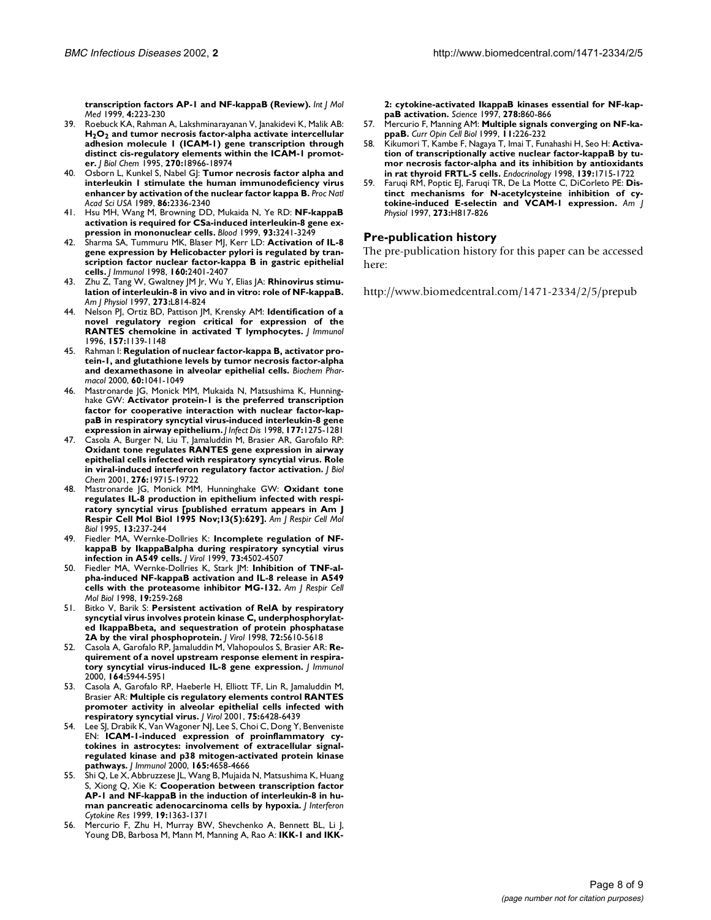**transcription factors AP-1 and NF-kappaB (Review).** *Int J Mol Med* 1999, **4:**223-230

- 39. [Roebuck KA, Rahman A, Lakshminarayanan V, Janakidevi K, Malik AB:](http://www.ncbi.nlm.nih.gov/entrez/query.fcgi?cmd=Retrieve&db=PubMed&dopt=Abstract&list_uids=7642556) **H2O2 and tumor necrosis factor-alpha activate intercellular adhesion molecule 1 (ICAM-1) gene transcription through distinct cis-regulatory elements within the ICAM-1 promoter.** *J Biol Chem* 1995, **270:**18966-18974
- 40. [Osborn L, Kunkel S, Nabel GJ:](http://www.ncbi.nlm.nih.gov/entrez/query.fcgi?cmd=Retrieve&db=PubMed&dopt=Abstract&list_uids=2494664) **Tumor necrosis factor alpha and interleukin 1 stimulate the human immunodeficiency virus enhancer by activation of the nuclear factor kappa B.** *Proc Natl Acad Sci USA* 1989, **86:**2336-2340
- 41. [Hsu MH, Wang M, Browning DD, Mukaida N, Ye RD:](http://www.ncbi.nlm.nih.gov/entrez/query.fcgi?cmd=Retrieve&db=PubMed&dopt=Abstract&list_uids=10233875) **NF-kappaB activation is required for CSa-induced interleukin-8 gene expression in mononuclear cells.** *Blood* 1999, **93:**3241-3249
- 42. [Sharma SA, Tummuru MK, Blaser MJ, Kerr LD:](http://www.ncbi.nlm.nih.gov/entrez/query.fcgi?cmd=Retrieve&db=PubMed&dopt=Abstract&list_uids=9498783) **Activation of IL-8 gene expression by Helicobacter pylori is regulated by transcription factor nuclear factor-kappa B in gastric epithelial cells.** *J Immunol* 1998, **160:**2401-2407
- Zhu Z, Tang W, Gwaltney JM Jr, Wu Y, Elias JA: **Rhinovirus stimulation of interleukin-8 in vivo and in vitro: role of NF-kappaB.** *Am J Physiol* 1997, **273:**L814-824
- 44. [Nelson PJ, Ortiz BD, Pattison JM, Krensky AM:](http://www.ncbi.nlm.nih.gov/entrez/query.fcgi?cmd=Retrieve&db=PubMed&dopt=Abstract&list_uids=8757619) **Identification of a novel regulatory region critical for expression of the RANTES chemokine in activated T lymphocytes.** *J Immunol* 1996, **157:**1139-1148
- 45. [Rahman I:](http://www.ncbi.nlm.nih.gov/entrez/query.fcgi?cmd=Retrieve&db=PubMed&dopt=Abstract&list_uids=11007940) **Regulation of nuclear factor-kappa B, activator protein-1, and glutathione levels by tumor necrosis factor-alpha and dexamethasone in alveolar epithelial cells.** *Biochem Pharmacol* 2000, **60:**1041-1049
- 46. [Mastronarde JG, Monick MM, Mukaida N, Matsushima K, Hunning](http://www.ncbi.nlm.nih.gov/entrez/query.fcgi?cmd=Retrieve&db=PubMed&dopt=Abstract&list_uids=9593012)[hake GW:](http://www.ncbi.nlm.nih.gov/entrez/query.fcgi?cmd=Retrieve&db=PubMed&dopt=Abstract&list_uids=9593012) **Activator protein-1 is the preferred transcription factor for cooperative interaction with nuclear factor-kappaB in respiratory syncytial virus-induced interleukin-8 gene expression in airway epithelium.** *J Infect Dis* 1998, **177:**1275-1281
- 47. [Casola A, Burger N, Liu T, Jamaluddin M, Brasier AR, Garofalo RP:](http://www.ncbi.nlm.nih.gov/entrez/query.fcgi?cmd=Retrieve&db=PubMed&dopt=Abstract&list_uids=11259439) **Oxidant tone regulates RANTES gene expression in airway epithelial cells infected with respiratory syncytial virus. Role in viral-induced interferon regulatory factor activation.** *J Biol Chem* 2001, **276:**19715-19722
- 48. [Mastronarde JG, Monick MM, Hunninghake GW:](http://www.ncbi.nlm.nih.gov/entrez/query.fcgi?cmd=Retrieve&db=PubMed&dopt=Abstract&list_uids=7626291) **Oxidant tone regulates IL-8 production in epithelium infected with respiratory syncytial virus [published erratum appears in Am J Respir Cell Mol Biol 1995 Nov;13(5):629].** *Am J Respir Cell Mol Biol* 1995, **13:**237-244
- 49. [Fiedler MA, Wernke-Dollries K:](http://www.ncbi.nlm.nih.gov/entrez/query.fcgi?cmd=Retrieve&db=PubMed&dopt=Abstract&list_uids=10196356) **Incomplete regulation of NFkappaB by IkappaBalpha during respiratory syncytial virus infection in A549 cells.** *J Virol* 1999, **73:**4502-4507
- 50. [Fiedler MA, Wernke-Dollries K, Stark JM:](http://www.ncbi.nlm.nih.gov/entrez/query.fcgi?cmd=Retrieve&db=PubMed&dopt=Abstract&list_uids=9698598) **Inhibition of TNF-alpha-induced NF-kappaB activation and IL-8 release in A549 cells with the proteasome inhibitor MG-132.** *Am J Respir Cell Mol Biol* 1998, **19:**259-268
- 51. [Bitko V, Barik S:](http://www.ncbi.nlm.nih.gov/entrez/query.fcgi?cmd=Retrieve&db=PubMed&dopt=Abstract&list_uids=9621019) **Persistent activation of RelA by respiratory syncytial virus involves protein kinase C, underphosphorylated IkappaBbeta, and sequestration of protein phosphatase 2A by the viral phosphoprotein.** *J Virol* 1998, **72:**5610-5618
- 52. [Casola A, Garofalo RP, Jamaluddin M, Vlahopoulos S, Brasier AR:](http://www.ncbi.nlm.nih.gov/entrez/query.fcgi?cmd=Retrieve&db=PubMed&dopt=Abstract&list_uids=10820277) **Requirement of a novel upstream response element in respiratory syncytial virus-induced IL-8 gene expression.** *J Immunol* 2000, **164:**5944-5951
- 53. [Casola A, Garofalo RP, Haeberle H, Elliott TF, Lin R, Jamaluddin M,](http://www.ncbi.nlm.nih.gov/entrez/query.fcgi?cmd=Retrieve&db=PubMed&dopt=Abstract&list_uids=11413310) [Brasier AR:](http://www.ncbi.nlm.nih.gov/entrez/query.fcgi?cmd=Retrieve&db=PubMed&dopt=Abstract&list_uids=11413310) **Multiple cis regulatory elements control RANTES promoter activity in alveolar epithelial cells infected with respiratory syncytial virus.** *J Virol* 2001, **75:**6428-6439
- 54. [Lee SJ, Drabik K, Van Wagoner NJ, Lee S, Choi C, Dong Y, Benveniste](http://www.ncbi.nlm.nih.gov/entrez/query.fcgi?cmd=Retrieve&db=PubMed&dopt=Abstract&list_uids=11035109) [EN:](http://www.ncbi.nlm.nih.gov/entrez/query.fcgi?cmd=Retrieve&db=PubMed&dopt=Abstract&list_uids=11035109) **ICAM-1-induced expression of proinflammatory cytokines in astrocytes: involvement of extracellular signalregulated kinase and p38 mitogen-activated protein kinase pathways.** *J Immunol* 2000, **165:**4658-4666
- 55. [Shi Q, Le X, Abbruzzese JL, Wang B, Mujaida N, Matsushima K, Huang](http://www.ncbi.nlm.nih.gov/entrez/query.fcgi?cmd=Retrieve&db=PubMed&dopt=Abstract&list_uids=10638705) [S, Xiong Q, Xie K:](http://www.ncbi.nlm.nih.gov/entrez/query.fcgi?cmd=Retrieve&db=PubMed&dopt=Abstract&list_uids=10638705) **Cooperation between transcription factor AP-1 and NF-kappaB in the induction of interleukin-8 in human pancreatic adenocarcinoma cells by hypoxia.** *J Interferon Cytokine Res* 1999, **19:**1363-1371
- 56. [Mercurio F, Zhu H, Murray BW, Shevchenko A, Bennett BL, Li J,](http://www.ncbi.nlm.nih.gov/entrez/query.fcgi?cmd=Retrieve&db=PubMed&dopt=Abstract&list_uids=9346484) [Young DB, Barbosa M, Mann M, Manning A, Rao A:](http://www.ncbi.nlm.nih.gov/entrez/query.fcgi?cmd=Retrieve&db=PubMed&dopt=Abstract&list_uids=9346484) **IKK-1 and IKK-**

**2: cytokine-activated IkappaB kinases essential for NF-kappaB activation.** *Science* 1997, **278:**860-866

- 57. [Mercurio F, Manning AM:](http://www.ncbi.nlm.nih.gov/entrez/query.fcgi?cmd=Retrieve&db=PubMed&dopt=Abstract&list_uids=10209157) **Multiple signals converging on NF-kappaB.** *Curr Opin Cell Biol* 1999, **11:**226-232
- 58. [Kikumori T, Kambe F, Nagaya T, Imai T, Funahashi H, Seo H:](http://www.ncbi.nlm.nih.gov/entrez/query.fcgi?cmd=Retrieve&db=PubMed&dopt=Abstract&list_uids=9528954) **Activation of transcriptionally active nuclear factor-kappaB by tumor necrosis factor-alpha and its inhibition by antioxidants in rat thyroid FRTL-5 cells.** *Endocrinology* 1998, **139:**1715-1722
- 59. [Faruqi RM, Poptic EJ, Faruqi TR, De La Motte C, DiCorleto PE:](http://www.ncbi.nlm.nih.gov/entrez/query.fcgi?cmd=Retrieve&db=PubMed&dopt=Abstract&list_uids=9277499) **Distinct mechanisms for N-acetylcysteine inhibition of cytokine-induced E-selectin and VCAM-1 expression.** *Am J Physiol* 1997, **273:**H817-826

### **Pre-publication history**

The pre-publication history for this paper can be accessed here:

<http://www.biomedcentral.com/1471-2334/2/5/prepub>